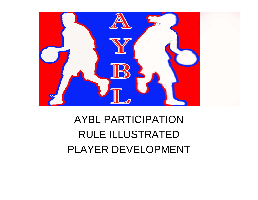

#### AYBL PARTICIPATIONRULE ILLUSTRATED PLAYER DEVELOPMENT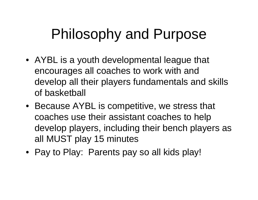### Philosophy and Purpose

- AYBL is a youth developmental league that encourages all coaches to work with and develop all their players fundamentals and skills of basketball
- Because AYBL is competitive, we stress that coaches use their assistant coaches to help develop players, including their bench players as all MUST play 15 minutes
- Pay to Play: Parents pay so all kids play!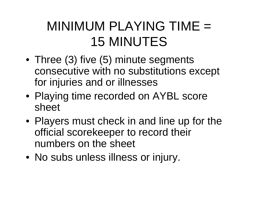### MINIMUM PLAYING TIME = 15 MINUTES

- Three (3) five (5) minute segments consecutive with no substitutions except for injuries and or illnesses
- Playing time recorded on AYBL score sheet
- Players must check in and line up for the official scorekeeper to record their numbers on the sheet
- No subs unless illness or injury.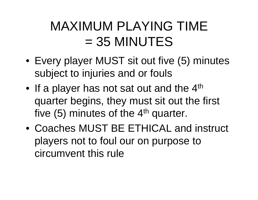### MAXIMUM PLAYING TIME  $= 35$  MINUTES

- Every player MUST sit out five (5) minutes subject to injuries and or fouls
- •If a player has not sat out and the 4<sup>th</sup> quarter begins, they must sit out the first five  $(5)$  minutes of the  $4<sup>th</sup>$  quarter.
- Coaches MUST BE ETHICAL and instruct players not to foul our on purpose to circumvent this rule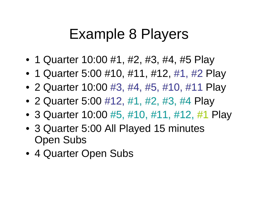### Example 8 Players

- 1 Quarter 10:00 #1, #2, #3, #4, #5 Play
- 1 Quarter 5:00 #10, #11, #12, #1, #2 Play
- 2 Quarter 10:00 #3, #4, #5, #10, #11 Play
- 2 Quarter 5:00 #12, #1, #2, #3, #4 Play
- 3 Quarter 10:00 #5, #10, #11, #12, #1 Play
- 3 Quarter 5:00 All Played 15 minutes Open Subs
- 4 Quarter Open Subs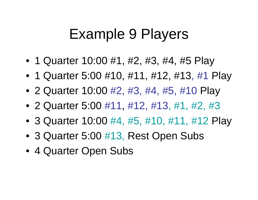#### Example 9 Players

- 1 Quarter 10:00 #1, #2, #3, #4, #5 Play
- 1 Quarter 5:00 #10, #11, #12, #13, #1 Play
- 2 Quarter 10:00 #2, #3, #4, #5, #10 Play
- 2 Quarter 5:00 #11, #12, #13, #1, #2, #3
- 3 Quarter 10:00 #4, #5, #10, #11, #12 Play
- 3 Quarter 5:00 #13, Rest Open Subs
- 4 Quarter Open Subs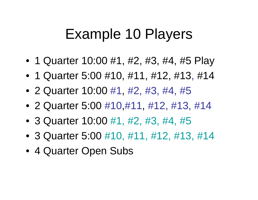#### Example 10 Players

- 1 Quarter 10:00 #1, #2, #3, #4, #5 Play
- 1 Quarter 5:00 #10, #11, #12, #13, #14
- 2 Quarter 10:00 #1, #2, #3, #4, #5
- 2 Quarter 5:00 #10,#11, #12, #13, #14
- 3 Quarter 10:00 #1, #2, #3, #4, #5
- 3 Quarter 5:00 #10, #11, #12, #13, #14
- 4 Quarter Open Subs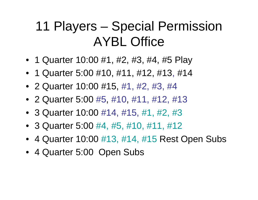#### 11 Players – Special Permission AYBL Office

- 1 Quarter 10:00 #1, #2, #3, #4, #5 Play
- 1 Quarter 5:00 #10, #11, #12, #13, #14
- 2 Quarter 10:00 #15, #1, #2, #3, #4
- 2 Quarter 5:00 #5, #10, #11, #12, #13
- 3 Quarter 10:00 #14, #15, #1, #2, #3
- 3 Quarter 5:00 #4, #5, #10, #11, #12
- 4 Quarter 10:00 #13, #14, #15 Rest Open Subs
- 4 Quarter 5:00 Open Subs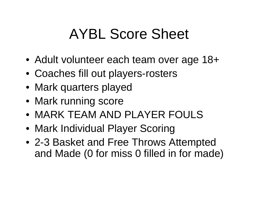## AYBL Score Sheet

- Adult volunteer each team over age 18+
- Coaches fill out players-rosters
- Mark quarters played
- Mark running score
- MARK TEAM AND PLAYER FOULS
- Mark Individual Player Scoring
- 2-3 Basket and Free Throws Attempted and Made (0 for miss 0 filled in for made)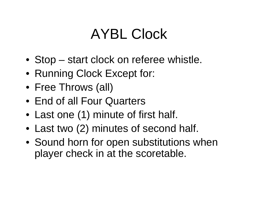## AYBL Clock

- Stop start clock on referee whistle.
- Running Clock Except for:
- Free Throws (all)
- End of all Four Quarters
- Last one (1) minute of first half.
- Last two (2) minutes of second half.
- Sound horn for open substitutions when player check in at the scoretable.